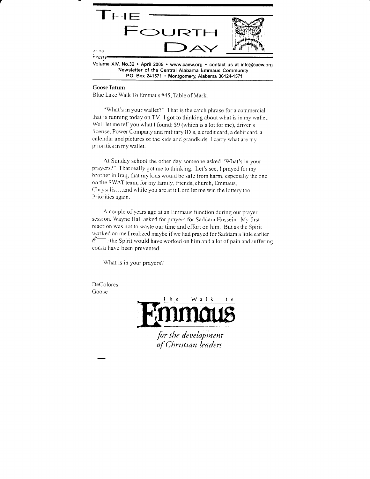

Newsletter of the Central Alabama Emmaus Community P.O. Box 241571 . Montgomery, Alabama 36124-1571

#### GooseTatum

Blue Lake Walk To Emmaus #45, Table of Mark.

"What's in your wallet?" That is the catch phrase for a commercial that is running today on TV. I got to thinking about what is in my wallet. Well let me tell you what I found; \$9 (which is a lot for me), driver's license, Power Company and military ID's, a credit card, a debit card, a calendar and pictures of the kids and grandkids. I carry what are my priorities in my wallet.

At Sunday school the other day someone asked "What's in your prayers?" That really got me to thinking. Let's see, I prayed for my brother in Iraq, that my kids would be safe fiom harm, especially the one on the SWAT team, for my family, friends, church, Emmaus, Chrysalis. ...and while you are at it Lord let me win the lottery too. Priorities again.

A couple of years ago at an Emmaus function during our praver session. Wayne Hall asked for prayers for Saddam Hussein. My first reaction was not to waste our time and effort on him. But as the Spirit worked on me I realized maybe if we had prayed for Saddam a little earlier  $\hat{f}$ : the Spirit would have worked on him and a lot of pain and suffering courd have been prevented.

What is in your prayers'?

DeColores Goose

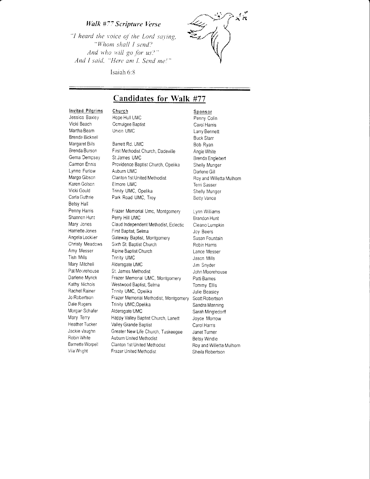#### Walk #77 Scripture Verse

"I heard the voice of the Lord saying, "Whom shall I send? And who will go for us?" And I said, "Here am I. Send me!"



Sponsor

#### Isaiah 6:8

## **Candidates for Walk #77**

#### **Invited Pilgrims**

Jessica Baxley Vicki Beach Martha Beam Brenda Bicknell Margaret Bills Brenda Burson Gema Dempsey Carmon Ennis Lynne Furlow Margo Gibson Karen Golson Vicki Gould Carla Guthrie Betsy Hall Penny Harris Shannon Hunt Mary Jones Harriette Jones Angela Locklier Christy Meadows Amy Messer Tish Mills Mary Mitchell Pat Moorehouse Darlene Myrick Kathy Nichols Rachel Rainer Jo Robertson Dale Rogers Morgan Schafer Mary Terry Heather Tucker Jackie Vaughn Robin White Barnette Worpell Vila Wright

Church Hope Hull UMC Ocmulgee Baptist Union UMC

Barrett Rd. UMC First Methodist Church, Dadeville St.James UMC Providence Baptist Church, Opelika Auburn UMC Clanton 1st United Methodist Elmore UMC Trinity UMC, Opelika Park Road UMC, Troy

Frazer Memorial Umc, Montgomery Perry Hill UMC Claud Independent Methodist, Eclectic First Baptist, Selma Gateway Baptist, Montgomery Sixth St. Baptist Church Alpine Baptist Church Trinity UMC Aldersgate UMC St. James Methodist Frazer Memorial UMC, Montgomery Westwood Baptist, Selma Trinity UMC, Opelika Frazer Memorial Methodist, Montgomery Trinity UMC, Opelika Aldersgate UMC Happy Valley Baptist Church, Lanett Valley Grande Baptist Greater New Life Church, Tuskeegee Auburn United Methodist Clanton 1st United Methodist Frazer United Methodist

Penny Colin Carol Harris Larry Bennett **Buck Starr** Bob Ryan Angie White Brenda Englebert Shelly Munger Darlene Gill Roy and Willetta Mulhorn Terri Sasser Shelly Munger **Betty Vance** Lynn Williams **Brandon Hunt** Cleano Lumpkin Joy Beers Susan Fountain Robin Harris Lance Messer Jason Mills Jim Snyder John Moorehouse Patti Barnes Tommy Ellis Julie Beasley Scott Robertson Sandra Manning Sarah Mingledorff Joyce Morrow Carol Harris Janet Turner

**Betsy Windle** 

Sheila Robertson

Roy and Willetta Mulhorn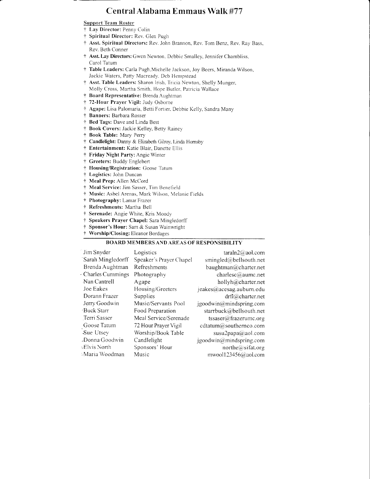## Central Alabama Emmaus Walk #77

#### **Support Team Roster**

- † Lay Director: Penny Colin
- † Spiritual Director: Rev. Glen Pugh
- † Asst. Spiritual Directors: Rev. John Brannon, Rev. Tom Benz, Rev. Ray Bass, Rev. Beth Conner
- + Asst. Lay Directors: Gwen Newton, Debbie Smalley, Jennifer Chambliss, Carol Tatum
- † Table Leaders: Carla Pugh, Michelle Jackson, Joy Beers, Miranda Wilson, Jackie Waters, Patty Macready, Deb Hempstead
- † Asst. Table Leaders: Sharon Irish, Tricia Newton, Shelly Munger, Molly Cross, Martha Smith, Hope Butler, Patricia Wallace
- † Board Representative: Brenda Aughtman
- † 72-Hour Prayer Vigil: Judy Osborne
- † Agape: Lisa Palomaria, Betti Fortier, Debbie Kelly, Sandra Many
- † Banners: Barbara Rosser
- † Bed Tags: Dave and Linda Best
- † Book Covers: Jackie Kelley, Betty Rainey
- † Book Table: Mary Perry
- † Candlelight: Danny & Elizabeth Gilroy, Linda Hornsby
- † Entertainment: Katie Blair, Danette Ellis
- † Friday Night Party: Angie Winter
- † Greeters: Buddy Englebert
- † Housing/Registration: Goose Tatum
- † Logistics: John Duncan
- + Meal Prep: Allen McCord
- † Meal Service: Jim Sasser, Tim Benefield
- † Music: Asbel Arenas, Mark Wilson, Melanie Fields
- + Photography: Lamar Frazer
- † Refreshments: Martha Bell
- † Serenade: Angie White, Kris Moody
- † Speakers Prayer Chapel: Sara Mingledorff
- † Sponsor's Hour: Sam & Susan Wainwright
- $\ddagger$ Worship/Closing: Eleanor Bordages

#### **BOARD MEMBERS AND AREAS OF RESPONSIBILITY**

| Jim Snyder        | Logistics               | $\text{tarah2}(\hat{\omega} \text{aol.com})$ |
|-------------------|-------------------------|----------------------------------------------|
| Sarah Mingledorff | Speaker's Prayer Chapel | smingled@bellsouth.net                       |
| Brenda Aughtman   | Refreshments            | baughtman@charter.net                        |
| Charles Cummings  | Photography             | charlesc@aumc.net                            |
| Nan Cantrell      | Agape                   | hollyh@charter.net                           |
| Joe Eakes         | Housing/Greeters        | jeakes@acesag.auburn.edu                     |
| Dorann Frazer     | Supplies                | drfl@charter.net                             |
| Jerry Goodwin     | Music/Servants Pool     | $j$ goodwin $(a)$ mindspring.com             |
| -Buck Starr       | Food Preparation        | starrbuck@bellsouth.net                      |
| Terri Sasser      | Meal Service/Serenade   | tssaser@frazerumc.org                        |
| Goose Tatum       | 72 Hour Prayer Vigil    | cdtatum@southernco.com                       |
| Sue Utsev         | Worship/Book Table      | susu2papa@aol.com                            |
| -Donna Goodwin    | Candlelight             | jgoodwin@mindspring.com                      |
| Elvis North،      | Sponsors' Hour          | northe@sifat.org                             |
| -Maria Woodman    | Music                   | mwool123456@aol.com                          |
|                   |                         |                                              |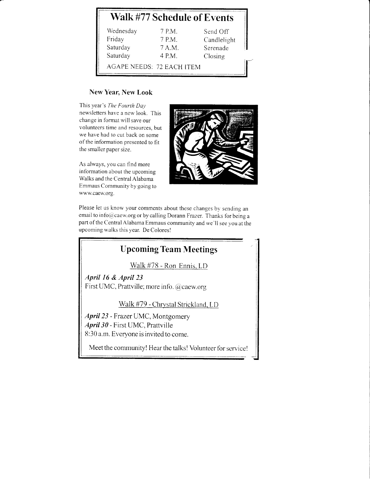# Walk #77 Schedule of Events

| Wednesday                 | 7 P.M. | Send Off    |
|---------------------------|--------|-------------|
| Friday                    | 7 P.M. | Candlelight |
| Saturday                  | 7 A.M. | Serenade    |
| Saturday                  | 4 P.M. | Closing     |
| AGAPE NEEDS: 72 EACH ITEM |        |             |

### New Year, New Look

This year's The Fourth Day newsletters have a new look. This change in format will save our volunteers time and resources, but we have had to cut back on some of the information presented to fit the smaller paper size.

As always, you can find more information about the upcoming Walks and the Central Alabama Emmaus Community by going to www.caew.org.



I

i  $\perp$ 

Please let us know your comments about these changes by sending an email to info@caew.org or by calling Dorann Frazer. Thanks for being a part of the Central Alabama Emmaus community and we'll see you at the upcoming walks this year. De Coloresl

# Upcoming Team Meetings

Walk #78 - Ron Ennis. LD

April I6 & April 23 First UMC, Prattville; more info. @caew.org

Walk #79 - Chrystal Strickland. LD

April 23 - Frazer UMC, Montgomery April30 - First UMC, Prattville 8:30 a.m. Everyone is invited to come.

Meet the community! Hear the talks! Volunteer for service!